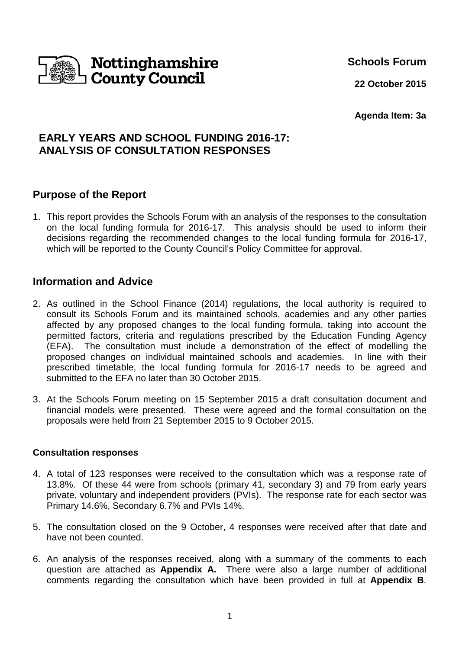

**Schools Forum**

**22 October 2015**

**Agenda Item: 3a**

# **EARLY YEARS AND SCHOOL FUNDING 2016-17: ANALYSIS OF CONSULTATION RESPONSES**

## **Purpose of the Report**

1. This report provides the Schools Forum with an analysis of the responses to the consultation on the local funding formula for 2016-17. This analysis should be used to inform their decisions regarding the recommended changes to the local funding formula for 2016-17, which will be reported to the County Council's Policy Committee for approval.

## **Information and Advice**

- 2. As outlined in the School Finance (2014) regulations, the local authority is required to consult its Schools Forum and its maintained schools, academies and any other parties affected by any proposed changes to the local funding formula, taking into account the permitted factors, criteria and regulations prescribed by the Education Funding Agency (EFA). The consultation must include a demonstration of the effect of modelling the proposed changes on individual maintained schools and academies. In line with their prescribed timetable, the local funding formula for 2016-17 needs to be agreed and submitted to the EFA no later than 30 October 2015.
- 3. At the Schools Forum meeting on 15 September 2015 a draft consultation document and financial models were presented. These were agreed and the formal consultation on the proposals were held from 21 September 2015 to 9 October 2015.

#### **Consultation responses**

- 4. A total of 123 responses were received to the consultation which was a response rate of 13.8%. Of these 44 were from schools (primary 41, secondary 3) and 79 from early years private, voluntary and independent providers (PVIs). The response rate for each sector was Primary 14.6%, Secondary 6.7% and PVIs 14%.
- 5. The consultation closed on the 9 October, 4 responses were received after that date and have not been counted.
- 6. An analysis of the responses received, along with a summary of the comments to each question are attached as **Appendix A.** There were also a large number of additional comments regarding the consultation which have been provided in full at **Appendix B**.